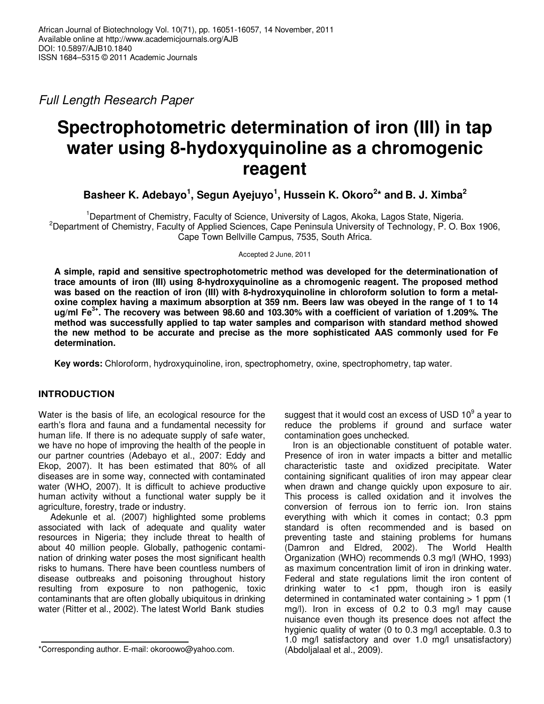Full Length Research Paper

# **Spectrophotometric determination of iron (III) in tap water using 8-hydoxyquinoline as a chromogenic reagent**

**Basheer K. Adebayo<sup>1</sup> , Segun Ayejuyo<sup>1</sup> , Hussein K. Okoro<sup>2</sup> \* and B. J. Ximba<sup>2</sup>**

<sup>1</sup>Department of Chemistry, Faculty of Science, University of Lagos, Akoka, Lagos State, Nigeria. <sup>2</sup>Department of Chemistry, Faculty of Applied Sciences, Cape Peninsula University of Technology, P. O. Box 1906, Cape Town Bellville Campus, 7535, South Africa.

Accepted 2 June, 2011

**A simple, rapid and sensitive spectrophotometric method was developed for the determinationation of trace amounts of iron (III) using 8-hydroxyquinoline as a chromogenic reagent. The proposed method was based on the reaction of iron (III) with 8-hydroxyquinoline in chloroform solution to form a metaloxine complex having a maximum absorption at 359 nm. Beers law was obeyed in the range of 1 to 14 ug/ml Fe3+. The recovery was between 98.60 and 103.30% with a coefficient of variation of 1.209%. The method was successfully applied to tap water samples and comparison with standard method showed the new method to be accurate and precise as the more sophisticated AAS commonly used for Fe determination.** 

**Key words:** Chloroform, hydroxyquinoline, iron, spectrophometry, oxine, spectrophometry, tap water.

# **INTRODUCTION**

Water is the basis of life, an ecological resource for the earth's flora and fauna and a fundamental necessity for human life. If there is no adequate supply of safe water, we have no hope of improving the health of the people in our partner countries (Adebayo et al., 2007: Eddy and Ekop, 2007). It has been estimated that 80% of all diseases are in some way, connected with contaminated water (WHO, 2007). It is difficult to achieve productive human activity without a functional water supply be it agriculture, forestry, trade or industry.

Adekunle et al. (2007) highlighted some problems associated with lack of adequate and quality water resources in Nigeria; they include threat to health of about 40 million people. Globally, pathogenic contamination of drinking water poses the most significant health risks to humans. There have been countless numbers of disease outbreaks and poisoning throughout history resulting from exposure to non pathogenic, toxic contaminants that are often globally ubiquitous in drinking water (Ritter et al., 2002). The latest World Bank studies

suggest that it would cost an excess of USD 10 $^9$  a year to reduce the problems if ground and surface water contamination goes unchecked.

Iron is an objectionable constituent of potable water. Presence of iron in water impacts a bitter and metallic characteristic taste and oxidized precipitate. Water containing significant qualities of iron may appear clear when drawn and change quickly upon exposure to air. This process is called oxidation and it involves the conversion of ferrous ion to ferric ion. Iron stains everything with which it comes in contact; 0.3 ppm standard is often recommended and is based on preventing taste and staining problems for humans (Damron and Eldred, 2002). The World Health Organization (WHO) recommends 0.3 mg/l (WHO, 1993) as maximum concentration limit of iron in drinking water. Federal and state regulations limit the iron content of drinking water to <1 ppm, though iron is easily determined in contaminated water containing > 1 ppm (1 mg/l). Iron in excess of 0.2 to 0.3 mg/l may cause nuisance even though its presence does not affect the hygienic quality of water (0 to 0.3 mg/l acceptable. 0.3 to 1.0 mg/l satisfactory and over 1.0 mg/l unsatisfactory) (Abdoljalaal et al., 2009).

<sup>\*</sup>Corresponding author. E-mail: okoroowo@yahoo.com.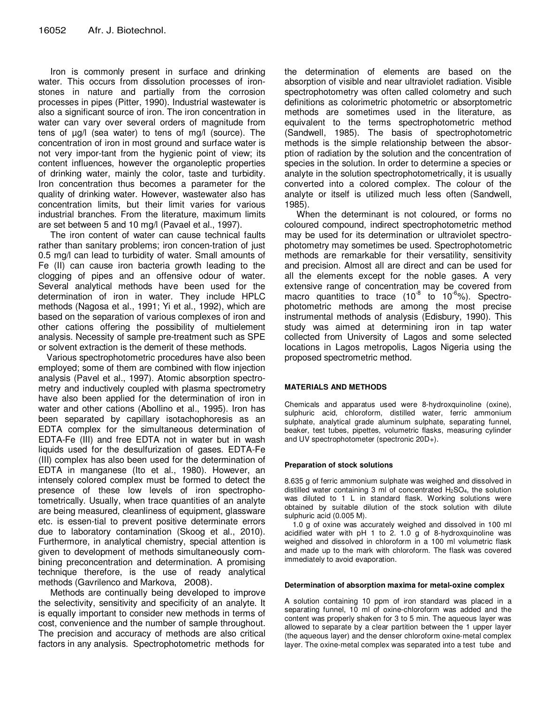Iron is commonly present in surface and drinking water. This occurs from dissolution processes of ironstones in nature and partially from the corrosion processes in pipes (Pitter, 1990). Industrial wastewater is also a significant source of iron. The iron concentration in water can vary over several orders of magnitude from tens of µg/l (sea water) to tens of mg/l (source). The concentration of iron in most ground and surface water is not very impor-tant from the hygienic point of view; its content influences, however the organoleptic properties of drinking water, mainly the color, taste and turbidity. Iron concentration thus becomes a parameter for the quality of drinking water. However, wastewater also has concentration limits, but their limit varies for various industrial branches. From the literature, maximum limits are set between 5 and 10 mg/l (Pavael et al., 1997).

The iron content of water can cause technical faults rather than sanitary problems; iron concen-tration of just 0.5 mg/l can lead to turbidity of water. Small amounts of Fe (II) can cause iron bacteria growth leading to the clogging of pipes and an offensive odour of water. Several analytical methods have been used for the determination of iron in water. They include HPLC methods (Nagosa et al., 1991; Yi et al., 1992), which are based on the separation of various complexes of iron and other cations offering the possibility of multielement analysis. Necessity of sample pre-treatment such as SPE or solvent extraction is the demerit of these methods.

Various spectrophotometric procedures have also been employed; some of them are combined with flow injection analysis (Pavel et al., 1997). Atomic absorption spectrometry and inductively coupled with plasma spectrometry have also been applied for the determination of iron in water and other cations (Abollino et al., 1995). Iron has been separated by capillary isotachophoresis as an EDTA complex for the simultaneous determination of EDTA-Fe (III) and free EDTA not in water but in wash liquids used for the desulfurization of gases. EDTA-Fe (III) complex has also been used for the determination of EDTA in manganese (Ito et al., 1980). However, an intensely colored complex must be formed to detect the presence of these low levels of iron spectrophotometrically. Usually, when trace quantities of an analyte are being measured, cleanliness of equipment, glassware etc. is essen-tial to prevent positive determinate errors due to laboratory contamination (Skoog et al., 2010). Furthermore, in analytical chemistry, special attention is given to development of methods simultaneously combining preconcentration and determination. A promising technique therefore, is the use of ready analytical methods (Gavrilenco and Markova, 2008).

Methods are continually being developed to improve the selectivity, sensitivity and specificity of an analyte. It is equally important to consider new methods in terms of cost, convenience and the number of sample throughout. The precision and accuracy of methods are also critical factors in any analysis. Spectrophotometric methods for

the determination of elements are based on the absorption of visible and near ultraviolet radiation. Visible spectrophotometry was often called colometry and such definitions as colorimetric photometric or absorptometric methods are sometimes used in the literature, as equivalent to the terms spectrophotometric method (Sandwell, 1985). The basis of spectrophotometric methods is the simple relationship between the absorption of radiation by the solution and the concentration of species in the solution. In order to determine a species or analyte in the solution spectrophotometrically, it is usually converted into a colored complex. The colour of the analyte or itself is utilized much less often (Sandwell, 1985).

When the determinant is not coloured, or forms no coloured compound, indirect spectrophotometric method may be used for its determination or ultraviolet spectrophotometry may sometimes be used. Spectrophotometric methods are remarkable for their versatility, sensitivity and precision. Almost all are direct and can be used for all the elements except for the noble gases. A very extensive range of concentration may be covered from macro quantities to trace  $(10^{-8} \text{ to } 10^{-6})$ %). Spectrophotometric methods are among the most precise instrumental methods of analysis (Edisbury, 1990). This study was aimed at determining iron in tap water collected from University of Lagos and some selected locations in Lagos metropolis, Lagos Nigeria using the proposed spectrometric method.

## **MATERIALS AND METHODS**

Chemicals and apparatus used were 8-hydroxquinoline (oxine), sulphuric acid, chloroform, distilled water, ferric ammonium sulphate, analytical grade aluminum sulphate, separating funnel, beaker, test tubes, pipettes, volumetric flasks, measuring cylinder and UV spectrophotometer (spectronic 20D+).

## **Preparation of stock solutions**

8.635 g of ferric ammonium sulphate was weighed and dissolved in distilled water containing 3 ml of concentrated  $H<sub>2</sub>SO<sub>4</sub>$ , the solution was diluted to 1 L in standard flask. Working solutions were obtained by suitable dilution of the stock solution with dilute sulphuric acid (0.005 M).

1.0 g of oxine was accurately weighed and dissolved in 100 ml acidified water with pH 1 to 2. 1.0 g of 8-hydroxquinoline was weighed and dissolved in chloroform in a 100 ml volumetric flask and made up to the mark with chloroform. The flask was covered immediately to avoid evaporation.

#### **Determination of absorption maxima for metal-oxine complex**

A solution containing 10 ppm of iron standard was placed in a separating funnel, 10 ml of oxine-chloroform was added and the content was properly shaken for 3 to 5 min. The aqueous layer was allowed to separate by a clear partition between the 1 upper layer (the aqueous layer) and the denser chloroform oxine-metal complex layer. The oxine-metal complex was separated into a test tube and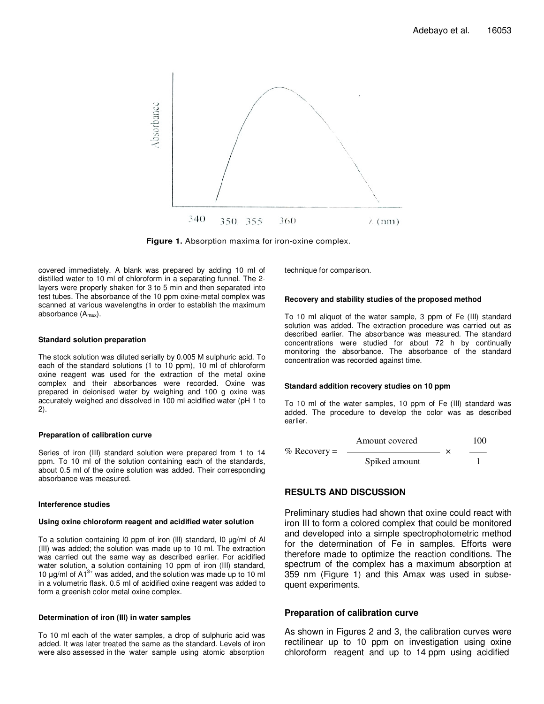

**Figure 1.** Absorption maxima for iron-oxine complex.

covered immediately. A blank was prepared by adding 10 ml of distilled water to 10 ml of chloroform in a separating funnel. The 2 layers were properly shaken for 3 to 5 min and then separated into test tubes. The absorbance of the 10 ppm oxine-metal complex was scanned at various wavelengths in order to establish the maximum absorbance  $(A<sub>max</sub>)$ .

#### **Standard solution preparation**

The stock solution was diluted serially by 0.005 M sulphuric acid. To each of the standard solutions (1 to 10 ppm), 10 ml of chloroform oxine reagent was used for the extraction of the metal oxine complex and their absorbances were recorded. Oxine was prepared in deionised water by weighing and 100 g oxine was accurately weighed and dissolved in 100 ml acidified water (pH 1 to 2).

## **Preparation of calibration curve**

Series of iron (III) standard solution were prepared from 1 to 14 ppm. To 10 ml of the solution containing each of the standards, about 0.5 ml of the oxine solution was added. Their corresponding absorbance was measured.

#### **Interference studies**

#### **Using oxine chloroform reagent and acidified water solution**

To a solution containing l0 ppm of iron (lll) standard, l0 µg/ml of Al (III) was added; the solution was made up to 10 ml. The extraction was carried out the same way as described earlier. For acidified water solution, a solution containing 10 ppm of iron (III) standard, 10  $\mu$ g/ml of A1<sup>3+</sup> was added, and the solution was made up to 10 ml in a volumetric flask. 0.5 ml of acidified oxine reagent was added to form a greenish color metal oxine complex.

#### **Determination of iron (III) in water samples**

To 10 ml each of the water samples, a drop of sulphuric acid was added. It was later treated the same as the standard. Levels of iron were also assessed in the water sample using atomic absorption technique for comparison.

#### **Recovery and stability studies of the proposed method**

To 10 ml aliquot of the water sample, 3 ppm of Fe (III) standard solution was added. The extraction procedure was carried out as described earlier. The absorbance was measured. The standard concentrations were studied for about 72 h by continually monitoring the absorbance. The absorbance of the standard concentration was recorded against time.

## **Standard addition recovery studies on 10 ppm**

To 10 ml of the water samples, 10 ppm of Fe (III) standard was added. The procedure to develop the color was as described earlier.

$$
\% \text{ Recovery} = \frac{\text{Amount covered}}{\text{Spiked amount}} \times \frac{100}{1}
$$

# **RESULTS AND DISCUSSION**

Preliminary studies had shown that oxine could react with iron III to form a colored complex that could be monitored and developed into a simple spectrophotometric method for the determination of Fe in samples. Efforts were therefore made to optimize the reaction conditions. The spectrum of the complex has a maximum absorption at 359 nm (Figure 1) and this Amax was used in subsequent experiments.

## **Preparation of calibration curve**

As shown in Figures 2 and 3, the calibration curves were rectilinear up to 10 ppm on investigation using oxine chloroform reagent and up to 14 ppm using acidified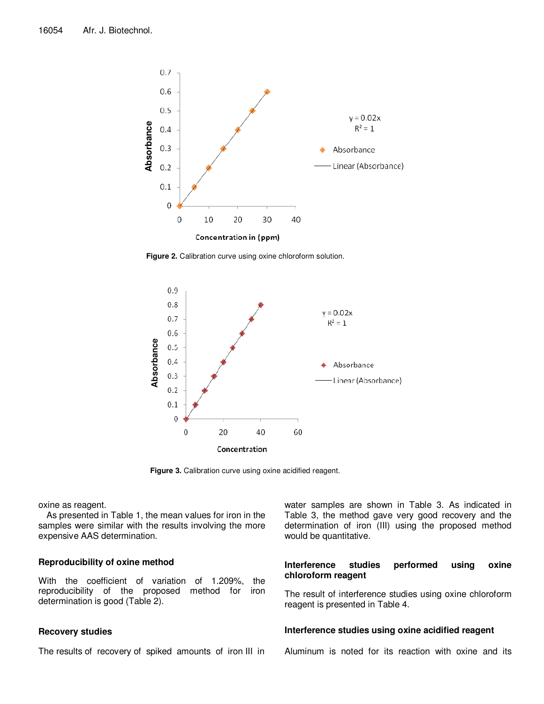

Figure 2. Calibration curve using oxine chloroform solution.



**Figure 3.** Calibration curve using oxine acidified reagent.

oxine as reagent.

As presented in Table 1, the mean values for iron in the samples were similar with the results involving the more expensive AAS determination.

# **Reproducibility of oxine method**

With the coefficient of variation of 1.209%, the reproducibility of the proposed method for iron determination is good (Table 2).

# **Recovery studies**

The results of recovery of spiked amounts of iron III in

water samples are shown in Table 3. As indicated in Table 3, the method gave very good recovery and the determination of iron (III) using the proposed method would be quantitative.

# **Interference studies performed using oxine chloroform reagent**

The result of interference studies using oxine chloroform reagent is presented in Table 4.

## **Interference studies using oxine acidified reagent**

Aluminum is noted for its reaction with oxine and its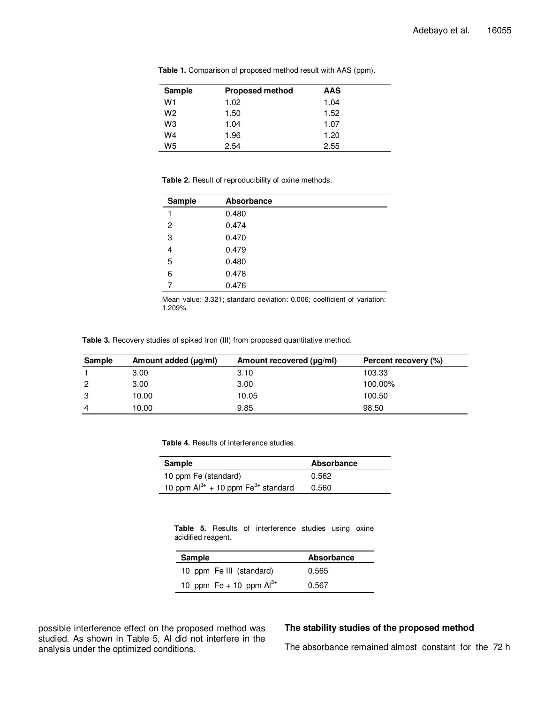| Sample         | <b>Proposed method</b> | AAS  |  |
|----------------|------------------------|------|--|
| W1             | 1.02                   | 1.04 |  |
| W <sub>2</sub> | 1.50                   | 1.52 |  |
| WЗ             | 1.04                   | 1.07 |  |
| W4             | 1.96                   | 1.20 |  |
| W5             | 2.54                   | 2.55 |  |

**Table 1.** Comparison of proposed method result with AAS (ppm).

**Table 2.** Result of reproducibility of oxine methods.

| Sample | Absorbance |
|--------|------------|
| 1      | 0.480      |
| 2      | 0.474      |
| 3      | 0.470      |
| 4      | 0.479      |
| 5      | 0.480      |
| 6      | 0.478      |
| 7      | 0.476      |

Mean value: 3.321; standard deviation: 0.006; coefficient of variation: 1.209%.

**Table 3.** Recovery studies of spiked Iron (III) from proposed quantitative method.

| Sample | Amount added (µg/ml) | Amount recovered (µg/ml) | Percent recovery (%) |
|--------|----------------------|--------------------------|----------------------|
|        | 3.00                 | 3.10                     | 103.33               |
| 2      | 3.00                 | 3.00                     | 100.00%              |
| 3      | 10.00                | 10.05                    | 100.50               |
| 4      | 10.00                | 9.85                     | 98.50                |

**Table 4.** Results of interference studies.

| Sample                                              | Absorbance |
|-----------------------------------------------------|------------|
| 10 ppm Fe (standard)                                | 0.562      |
| 10 ppm $Al^{3+}$ + 10 ppm Fe <sup>3+</sup> standard | 0.560      |

**Table 5.** Results of interference studies using oxine acidified reagent.

| Sample                       | Absorbance |
|------------------------------|------------|
| 10 ppm Fe III (standard)     | 0.565      |
| 10 ppm Fe + 10 ppm $Al^{3+}$ | 0.567      |

possible interference effect on the proposed method was studied. As shown in Table 5, Al did not interfere in the analysis under the optimized conditions.

# **The stability studies of the proposed method**

The absorbance remained almost constant for the 72 h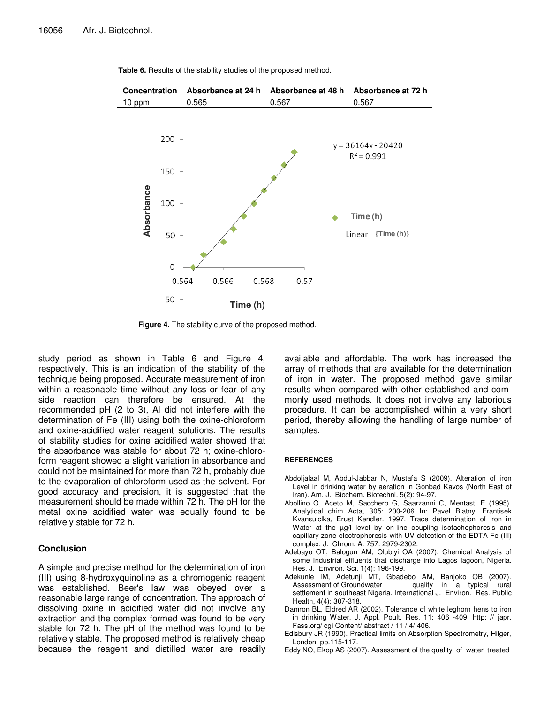

Table 6. Results of the stability studies of the proposed method.

**Figure 4.** The stability curve of the proposed method.

study period as shown in Table 6 and Figure 4, respectively. This is an indication of the stability of the technique being proposed. Accurate measurement of iron within a reasonable time without any loss or fear of any side reaction can therefore be ensured. At the recommended pH (2 to 3), Al did not interfere with the determination of Fe (III) using both the oxine-chloroform and oxine-acidified water reagent solutions. The results of stability studies for oxine acidified water showed that the absorbance was stable for about 72 h; oxine-chloroform reagent showed a slight variation in absorbance and could not be maintained for more than 72 h, probably due to the evaporation of chloroform used as the solvent. For good accuracy and precision, it is suggested that the measurement should be made within 72 h. The pH for the metal oxine acidified water was equally found to be relatively stable for 72 h.

## **Conclusion**

A simple and precise method for the determination of iron (III) using 8-hydroxyquinoline as a chromogenic reagent was established. Beer's law was obeyed over a reasonable large range of concentration. The approach of dissolving oxine in acidified water did not involve any extraction and the complex formed was found to be very stable for 72 h. The pH of the method was found to be relatively stable. The proposed method is relatively cheap because the reagent and distilled water are readily

available and affordable. The work has increased the array of methods that are available for the determination of iron in water. The proposed method gave similar results when compared with other established and commonly used methods. It does not involve any laborious procedure. It can be accomplished within a very short period, thereby allowing the handling of large number of samples.

#### **REFERENCES**

- Abdoljalaal M, Abdul-Jabbar N, Mustafa S (2009). Alteration of iron Level in drinking water by aeration in Gonbad Kavos (North East of Iran). Am. J. Biochem. Biotechnl. 5(2): 94-97.
- Abollino O, Aceto M, Sacchero G, Saarzanni C, Mentasti E (1995). Analytical chim Acta, 305: 200-206 In: Pavel Blatny, Frantisek Kvansuiclka, Erust Kendler. 1997. Trace determination of iron in Water at the µg/l level by on-line coupling isotachophoresis and capillary zone electrophoresis with UV detection of the EDTA-Fe (III) complex. J. Chrom. A. 757: 2979-2302.
- Adebayo OT, Balogun AM, Olubiyi OA (2007). Chemical Analysis of some Industrial effluents that discharge into Lagos lagoon, Nigeria. Res. J. Environ. Sci. 1(4): 196-199.
- Adekunle IM, Adetunji MT, Gbadebo AM, Banjoko OB (2007). quality in a typical rural settlement in southeast Nigeria. International J. Environ. Res. Public Health, 4(4): 307-318.
- Damron BL, Eldred AR (2002). Tolerance of white leghorn hens to iron in drinking Water. J. Appl. Poult. Res. 11: 406 -409. http: // japr. Fass.org/ cgi Content/ abstract / 11 / 4/ 406.
- Edisbury JR (1990). Practical limits on Absorption Spectrometry, Hilger, London, pp.115-117.
- Eddy NO, Ekop AS (2007). Assessment of the quality of water treated